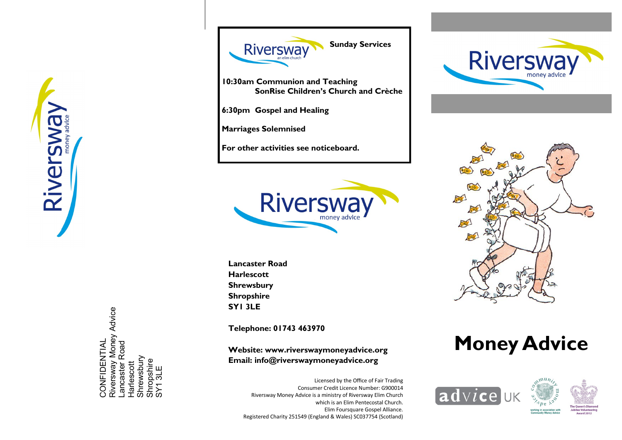

Riversway Money Advice<br>Lancaster Road Riversway Money Advice CONFIDENTIAL CONFIDENTIAL Lancaster Road **Trewsbur** Shropshire<br>SY1 3LE **larlescott** SY1 3LE

**Sunday Services Riversway** 

**10:30am Communion and Teaching SonRise Children's Church and Crèche**

**6:30pm Gospel and Healing**

**Marriages Solemnised**

**For other activities see noticeboard.**



**Lancaster Road Harlescott Shrewsbury Shropshire SY1 3LE**

**Telephone: 01743 463970**

**Website: www.riverswaymoneyadvice.org Email: info@riverswaymoneyadvice.org**

Licensed by the Office of Fair Trading Consumer Credit Licence Number: G900014 Riversway Money Advice is a ministry of Riversway Elim Church which is an Elim Pentecostal Church. Elim Foursquare Gospel Alliance. Registered Charity 251549 (England & Wales) SC037754 (Scotland)





# **Money Advice**